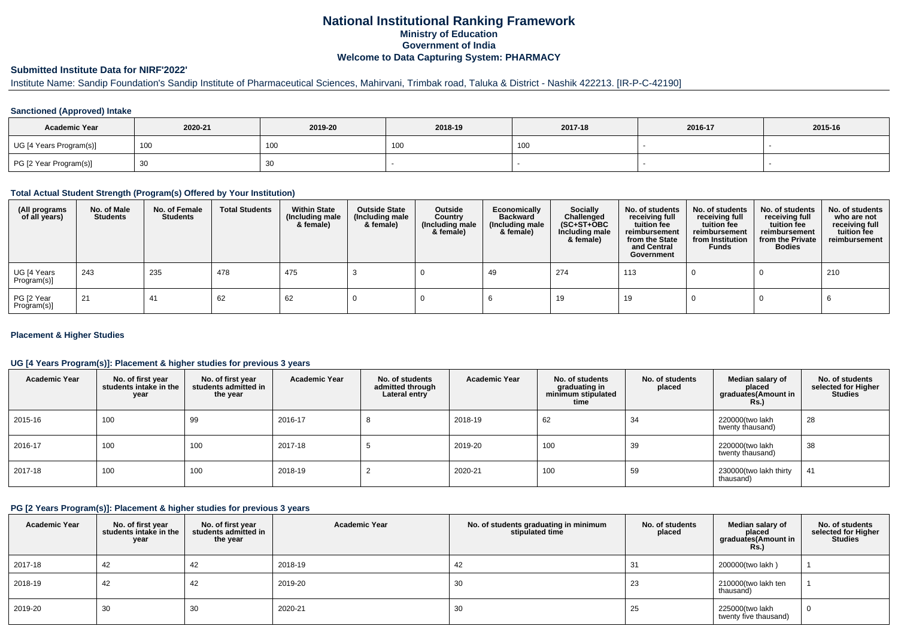# **National Institutional Ranking FrameworkMinistry of Education Government of IndiaWelcome to Data Capturing System: PHARMACY**

# **Submitted Institute Data for NIRF'2022'**

# Institute Name: Sandip Foundation's Sandip Institute of Pharmaceutical Sciences, Mahirvani, Trimbak road, Taluka & District - Nashik 422213. [IR-P-C-42190]

### **Sanctioned (Approved) Intake**

| <b>Academic Year</b>    | 2020-21 | 2019-20         | 2018-19 | 2017-18 | 2016-17 | 2015-16 |
|-------------------------|---------|-----------------|---------|---------|---------|---------|
| UG [4 Years Program(s)] | 100     | 10 <sub>C</sub> | , UU    | 100     |         |         |
| PG [2 Year Program(s)]  | ັບບ     | 30              |         |         |         |         |

### **Total Actual Student Strength (Program(s) Offered by Your Institution)**

| (All programs<br>of all years) | No. of Male<br><b>Students</b> | No. of Female<br>Students | <b>Total Students</b> | <b>Within State</b><br>(Including male<br>& female) | <b>Outside State</b><br>(Including male<br>& female) | Outside<br>Country<br>(Including male<br>& female) | Economically<br><b>Backward</b><br>(Including male<br>& female) | Socially<br>Challenged<br>$(SC+ST+OBC)$<br>Including male<br>& female) | No. of students<br>receiving full<br>tuition fee<br>reimbursement<br>from the State<br>and Central<br>Government | No. of students<br>receiving full<br>tuition fee<br>reimbursement<br>from Institution<br><b>Funds</b> | No. of students<br>receiving full<br>tuition fee<br>reimbursement<br>from the Private<br><b>Bodies</b> | No. of students<br>who are not<br>receiving full<br>tuition fee<br>reimbursement |
|--------------------------------|--------------------------------|---------------------------|-----------------------|-----------------------------------------------------|------------------------------------------------------|----------------------------------------------------|-----------------------------------------------------------------|------------------------------------------------------------------------|------------------------------------------------------------------------------------------------------------------|-------------------------------------------------------------------------------------------------------|--------------------------------------------------------------------------------------------------------|----------------------------------------------------------------------------------|
| UG [4 Years<br>Program(s)]     | 243                            | 235                       | 478                   | 475                                                 |                                                      |                                                    | 49                                                              | 274                                                                    | 113                                                                                                              |                                                                                                       |                                                                                                        | 210                                                                              |
| PG [2 Year<br>Program(s)]      | 21                             | 41                        | 62                    | 62                                                  |                                                      |                                                    |                                                                 | 19                                                                     | 19                                                                                                               |                                                                                                       |                                                                                                        |                                                                                  |

### **Placement & Higher Studies**

### **UG [4 Years Program(s)]: Placement & higher studies for previous 3 years**

| <b>Academic Year</b> | No. of first year<br>students intake in the<br>year | No. of first vear<br>students admitted in<br>the year | <b>Academic Year</b> | No. of students<br>admitted through<br>Lateral entry | <b>Academic Year</b> | No. of students<br>graduating in<br>minimum stipulated<br>time | No. of students<br>placed | Median salary of<br>placed<br>graduates(Amount in<br>Rs.) | No. of students<br>selected for Higher<br><b>Studies</b> |
|----------------------|-----------------------------------------------------|-------------------------------------------------------|----------------------|------------------------------------------------------|----------------------|----------------------------------------------------------------|---------------------------|-----------------------------------------------------------|----------------------------------------------------------|
| 2015-16              | 100                                                 | 99                                                    | 2016-17              | $\circ$                                              | 2018-19              | 62                                                             | 34                        | 220000(two lakh<br>twenty thausand)                       | 28                                                       |
| 2016-17              | 100                                                 | 100                                                   | 2017-18              |                                                      | 2019-20              | 100                                                            | 39                        | 220000(two lakh<br>twenty thausand)                       | 38                                                       |
| 2017-18              | 100                                                 | 100                                                   | 2018-19              |                                                      | 2020-21              | 100                                                            | 59                        | 230000(two lakh thirty<br>thausand)                       | 41                                                       |

### **PG [2 Years Program(s)]: Placement & higher studies for previous 3 years**

| <b>Academic Year</b> | No. of first year<br>students intake in the<br>year | No. of first year<br>students admitted in<br>the year | <b>Academic Year</b> | No. of students graduating in minimum<br>stipulated time | No. of students<br>placed | Median salary of<br>placed<br>graduates(Amount in<br>Rs. | No. of students<br>selected for Higher<br><b>Studies</b> |
|----------------------|-----------------------------------------------------|-------------------------------------------------------|----------------------|----------------------------------------------------------|---------------------------|----------------------------------------------------------|----------------------------------------------------------|
| 2017-18              | 42                                                  | 42                                                    | 2018-19              | 42                                                       | 31                        | 200000(two lakh)                                         |                                                          |
| 2018-19              | 42                                                  | 42                                                    | 2019-20              | 30                                                       | 23                        | 210000(two lakh ten<br>thausand)                         |                                                          |
| 2019-20              | 30                                                  | 30                                                    | 2020-21              | 30                                                       | 25                        | 225000(two lakh<br>twenty five thausand)                 |                                                          |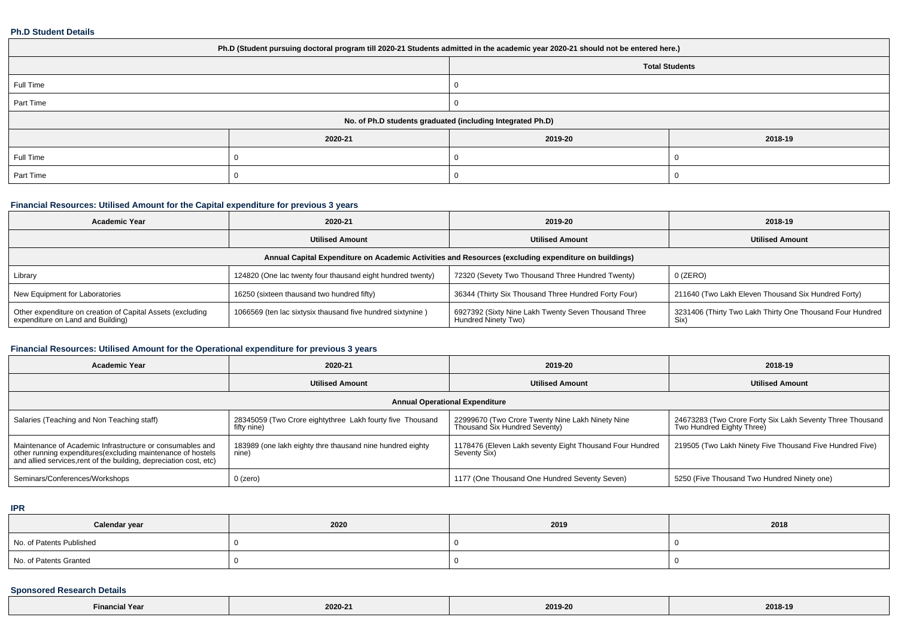#### **Ph.D Student Details**

| Ph.D (Student pursuing doctoral program till 2020-21 Students admitted in the academic year 2020-21 should not be entered here.) |         |                       |         |  |  |
|----------------------------------------------------------------------------------------------------------------------------------|---------|-----------------------|---------|--|--|
|                                                                                                                                  |         | <b>Total Students</b> |         |  |  |
| Full Time                                                                                                                        |         | 0                     |         |  |  |
| Part Time                                                                                                                        |         |                       |         |  |  |
| No. of Ph.D students graduated (including Integrated Ph.D)                                                                       |         |                       |         |  |  |
|                                                                                                                                  | 2020-21 | 2019-20               | 2018-19 |  |  |
| Full Time                                                                                                                        |         |                       |         |  |  |
| Part Time                                                                                                                        |         |                       |         |  |  |

## **Financial Resources: Utilised Amount for the Capital expenditure for previous 3 years**

| <b>Academic Year</b>                                                                                 | 2020-21                                                    | 2019-20                                                                     | 2018-19                                                           |  |  |  |
|------------------------------------------------------------------------------------------------------|------------------------------------------------------------|-----------------------------------------------------------------------------|-------------------------------------------------------------------|--|--|--|
|                                                                                                      | <b>Utilised Amount</b>                                     | <b>Utilised Amount</b>                                                      | <b>Utilised Amount</b>                                            |  |  |  |
| Annual Capital Expenditure on Academic Activities and Resources (excluding expenditure on buildings) |                                                            |                                                                             |                                                                   |  |  |  |
| Library                                                                                              | 124820 (One lac twenty four thausand eight hundred twenty) | 72320 (Sevety Two Thousand Three Hundred Twenty)                            | $0$ (ZERO)                                                        |  |  |  |
| New Equipment for Laboratories                                                                       | 16250 (sixteen thausand two hundred fifty)                 | 36344 (Thirty Six Thousand Three Hundred Forty Four)                        | 211640 (Two Lakh Eleven Thousand Six Hundred Forty)               |  |  |  |
| Other expenditure on creation of Capital Assets (excluding<br>expenditure on Land and Building)      | 1066569 (ten lac sixtysix thausand five hundred sixtynine) | 6927392 (Sixty Nine Lakh Twenty Seven Thousand Three<br>Hundred Ninety Two) | 3231406 (Thirty Two Lakh Thirty One Thousand Four Hundred<br>Six) |  |  |  |

## **Financial Resources: Utilised Amount for the Operational expenditure for previous 3 years**

| <b>Academic Year</b>                                                                                                                                                                            | 2020-21                                                                  | 2019-20                                                                           | 2018-19                                                                                |  |  |  |
|-------------------------------------------------------------------------------------------------------------------------------------------------------------------------------------------------|--------------------------------------------------------------------------|-----------------------------------------------------------------------------------|----------------------------------------------------------------------------------------|--|--|--|
|                                                                                                                                                                                                 | <b>Utilised Amount</b>                                                   | <b>Utilised Amount</b>                                                            | <b>Utilised Amount</b>                                                                 |  |  |  |
| <b>Annual Operational Expenditure</b>                                                                                                                                                           |                                                                          |                                                                                   |                                                                                        |  |  |  |
| Salaries (Teaching and Non Teaching staff)                                                                                                                                                      | 28345059 (Two Crore eightythree Lakh fourty five Thousand<br>fifty nine) | 22999670 (Two Crore Twenty Nine Lakh Ninety Nine<br>Thousand Six Hundred Seventy) | 24673283 (Two Crore Forty Six Lakh Seventy Three Thousand<br>Two Hundred Eighty Three) |  |  |  |
| Maintenance of Academic Infrastructure or consumables and<br>other running expenditures (excluding maintenance of hostels<br>and allied services, rent of the building, depreciation cost, etc) | 183989 (one lakh eighty thre thausand nine hundred eighty<br>nine)       | 1178476 (Eleven Lakh seventy Eight Thousand Four Hundred<br>Seventy Six)          | 219505 (Two Lakh Ninety Five Thousand Five Hundred Five)                               |  |  |  |
| Seminars/Conferences/Workshops                                                                                                                                                                  | $0$ (zero)                                                               | 1177 (One Thousand One Hundred Seventy Seven)                                     | 5250 (Five Thousand Two Hundred Ninety one)                                            |  |  |  |

## **IPR**

| Calendar year            | 2020 | 2019 | 2018 |
|--------------------------|------|------|------|
| No. of Patents Published |      |      |      |
| No. of Patents Granted   |      |      |      |

## **Sponsored Research Details**

| inancial Year <sup>-</sup> | 2020-21 | 2019-20 | 2018-19 |
|----------------------------|---------|---------|---------|
|----------------------------|---------|---------|---------|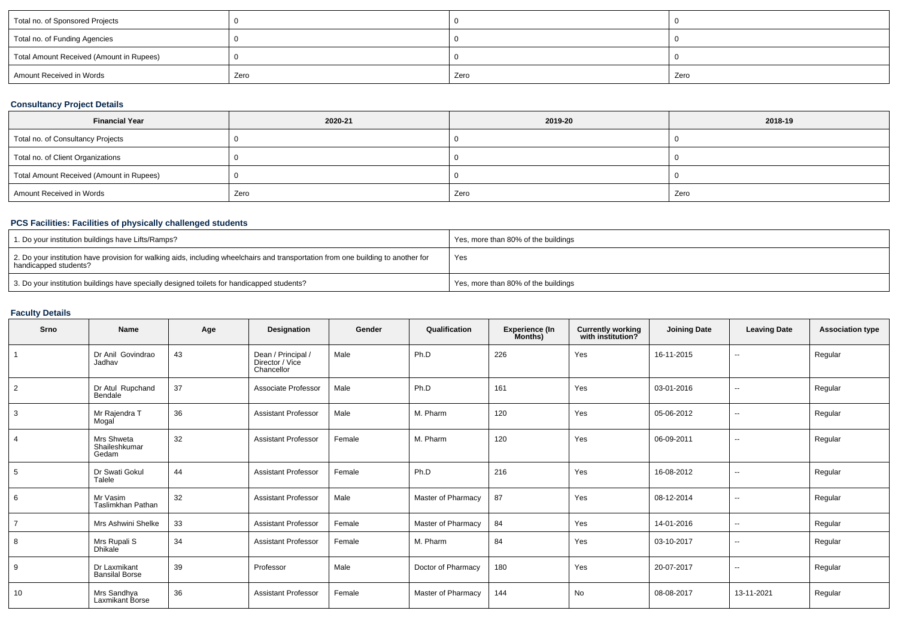| Total no. of Sponsored Projects          |      |      |      |
|------------------------------------------|------|------|------|
| Total no. of Funding Agencies            |      |      |      |
| Total Amount Received (Amount in Rupees) |      |      |      |
| Amount Received in Words                 | Zero | Zero | Zero |

## **Consultancy Project Details**

| <b>Financial Year</b>                    | 2020-21 | 2019-20 | 2018-19 |
|------------------------------------------|---------|---------|---------|
| Total no. of Consultancy Projects        |         |         |         |
| Total no. of Client Organizations        |         |         |         |
| Total Amount Received (Amount in Rupees) |         |         |         |
| Amount Received in Words                 | Zero    | Zero    | Zero    |

## **PCS Facilities: Facilities of physically challenged students**

| 1. Do your institution buildings have Lifts/Ramps?                                                                                                         | Yes, more than 80% of the buildings |
|------------------------------------------------------------------------------------------------------------------------------------------------------------|-------------------------------------|
| 2. Do your institution have provision for walking aids, including wheelchairs and transportation from one building to another for<br>handicapped students? | Yes                                 |
| 3. Do your institution buildings have specially designed toilets for handicapped students?                                                                 | Yes, more than 80% of the buildings |

### **Faculty Details**

| Srno | Name                                  | Age | Designation                                         | Gender | Qualification      | <b>Experience (In</b><br>Months) | <b>Currently working</b><br>with institution? | <b>Joining Date</b> | <b>Leaving Date</b> | <b>Association type</b> |
|------|---------------------------------------|-----|-----------------------------------------------------|--------|--------------------|----------------------------------|-----------------------------------------------|---------------------|---------------------|-------------------------|
|      | Dr Anil Govindrao<br>Jadhav           | 43  | Dean / Principal /<br>Director / Vice<br>Chancellor | Male   | Ph.D               | 226                              | Yes                                           | 16-11-2015          | $\sim$              | Regular                 |
| 2    | Dr Atul Rupchand<br>Bendale           | 37  | Associate Professor                                 | Male   | Ph.D               | 161                              | Yes                                           | 03-01-2016          | $\sim$              | Regular                 |
| 3    | Mr Rajendra T<br>Mogal                | 36  | <b>Assistant Professor</b>                          | Male   | M. Pharm           | 120                              | Yes                                           | 05-06-2012          | $\sim$              | Regular                 |
|      | Mrs Shweta<br>Shaileshkumar<br>Gedam  | 32  | <b>Assistant Professor</b>                          | Female | M. Pharm           | 120                              | Yes                                           | 06-09-2011          | $\sim$              | Regular                 |
| 5    | Dr Swati Gokul<br>Talele              | 44  | <b>Assistant Professor</b>                          | Female | Ph.D               | 216                              | Yes                                           | 16-08-2012          | $\sim$              | Regular                 |
| 6    | Mr Vasim<br><b>Taslimkhan Pathan</b>  | 32  | <b>Assistant Professor</b>                          | Male   | Master of Pharmacy | 87                               | Yes                                           | 08-12-2014          | $\sim$              | Regular                 |
|      | Mrs Ashwini Shelke                    | 33  | <b>Assistant Professor</b>                          | Female | Master of Pharmacy | 84                               | Yes                                           | 14-01-2016          | $\sim$              | Regular                 |
| 8    | Mrs Rupali S<br><b>Dhikale</b>        | 34  | <b>Assistant Professor</b>                          | Female | M. Pharm           | 84                               | Yes                                           | 03-10-2017          | $\sim$              | Regular                 |
| 9    | Dr Laxmikant<br><b>Bansilal Borse</b> | 39  | Professor                                           | Male   | Doctor of Pharmacy | 180                              | Yes                                           | 20-07-2017          | $\sim$              | Regular                 |
| 10   | Mrs Sandhva<br>Laxmikant Borse        | 36  | <b>Assistant Professor</b>                          | Female | Master of Pharmacy | 144                              | <b>No</b>                                     | 08-08-2017          | 13-11-2021          | Regular                 |